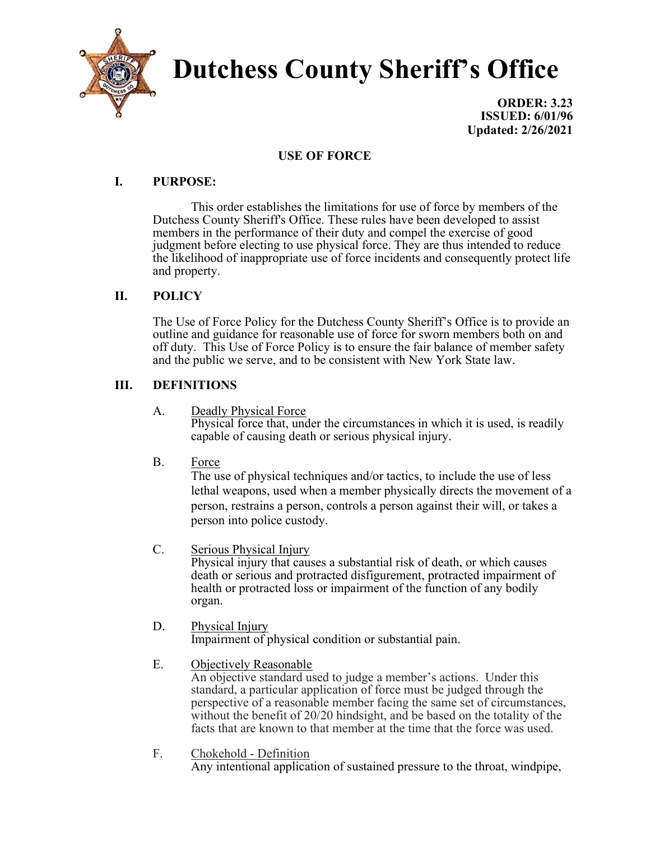

# Dutchess County Sheriff's Office

ORDER: 3.23 ISSUED: 6/01/96 Updated: 2/26/2021

# USE OF FORCE

## I. PURPOSE:

 This order establishes the limitations for use of force by members of the Dutchess County Sheriff's Office. These rules have been developed to assist members in the performance of their duty and compel the exercise of good judgment before electing to use physical force. They are thus intended to reduce the likelihood of inappropriate use of force incidents and consequently protect life and property.

# II. POLICY

The Use of Force Policy for the Dutchess County Sheriff's Office is to provide an outline and guidance for reasonable use of force for sworn members both on and off duty. This Use of Force Policy is to ensure the fair balance of member safety and the public we serve, and to be consistent with New York State law.

# III. DEFINITIONS

A. Deadly Physical Force

Physical force that, under the circumstances in which it is used, is readily capable of causing death or serious physical injury.

B. Force

The use of physical techniques and/or tactics, to include the use of less lethal weapons, used when a member physically directs the movement of a person, restrains a person, controls a person against their will, or takes a person into police custody.

C. Serious Physical Injury

Physical injury that causes a substantial risk of death, or which causes death or serious and protracted disfigurement, protracted impairment of health or protracted loss or impairment of the function of any bodily organ.

- D. Physical Injury Impairment of physical condition or substantial pain.
- E. Objectively Reasonable An objective standard used to judge a member's actions. Under this standard, a particular application of force must be judged through the perspective of a reasonable member facing the same set of circumstances, without the benefit of 20/20 hindsight, and be based on the totality of the facts that are known to that member at the time that the force was used.
- F. Chokehold Definition Any intentional application of sustained pressure to the throat, windpipe,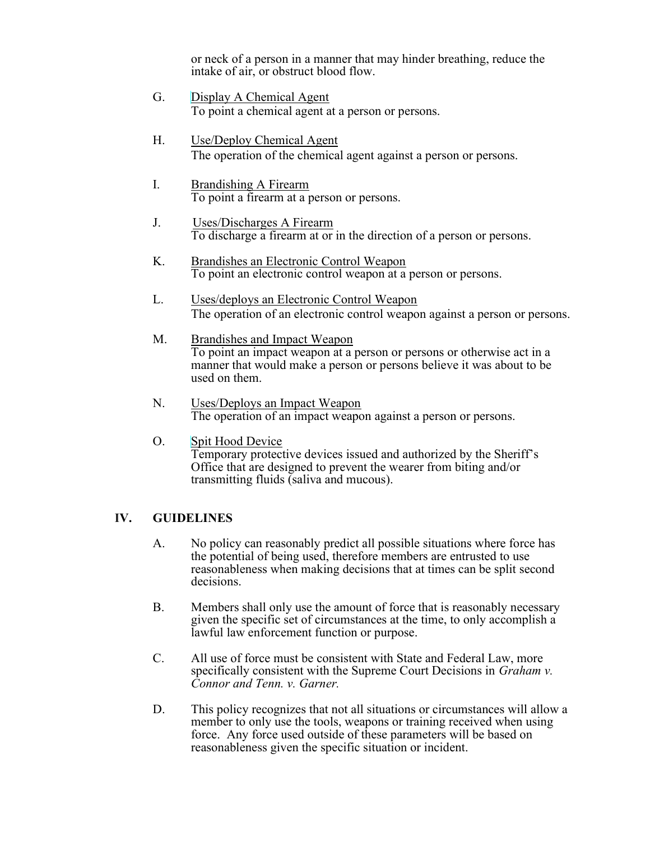or neck of a person in a manner that may hinder breathing, reduce the intake of air, or obstruct blood flow.

- G. Display A Chemical Agent To point a chemical agent at a person or persons.
- H. Use/Deploy Chemical Agent The operation of the chemical agent against a person or persons.
- I. Brandishing A Firearm To point a firearm at a person or persons.
- J. Uses/Discharges A Firearm To discharge a firearm at or in the direction of a person or persons.
- K. Brandishes an Electronic Control Weapon To point an electronic control weapon at a person or persons.
- L. Uses/deploys an Electronic Control Weapon The operation of an electronic control weapon against a person or persons.
- M. Brandishes and Impact Weapon To point an impact weapon at a person or persons or otherwise act in a manner that would make a person or persons believe it was about to be used on them.
- N. Uses/Deploys an Impact Weapon The operation of an impact weapon against a person or persons.
- O. Spit Hood Device Temporary protective devices issued and authorized by the Sheriff's Office that are designed to prevent the wearer from biting and/or transmitting fluids (saliva and mucous).

#### IV. GUIDELINES

- A. No policy can reasonably predict all possible situations where force has the potential of being used, therefore members are entrusted to use reasonableness when making decisions that at times can be split second decisions.
- B. Members shall only use the amount of force that is reasonably necessary given the specific set of circumstances at the time, to only accomplish a lawful law enforcement function or purpose.
- C. All use of force must be consistent with State and Federal Law, more specifically consistent with the Supreme Court Decisions in *Graham v*. Connor and Tenn. v. Garner.
- D. This policy recognizes that not all situations or circumstances will allow a member to only use the tools, weapons or training received when using force. Any force used outside of these parameters will be based on reasonableness given the specific situation or incident.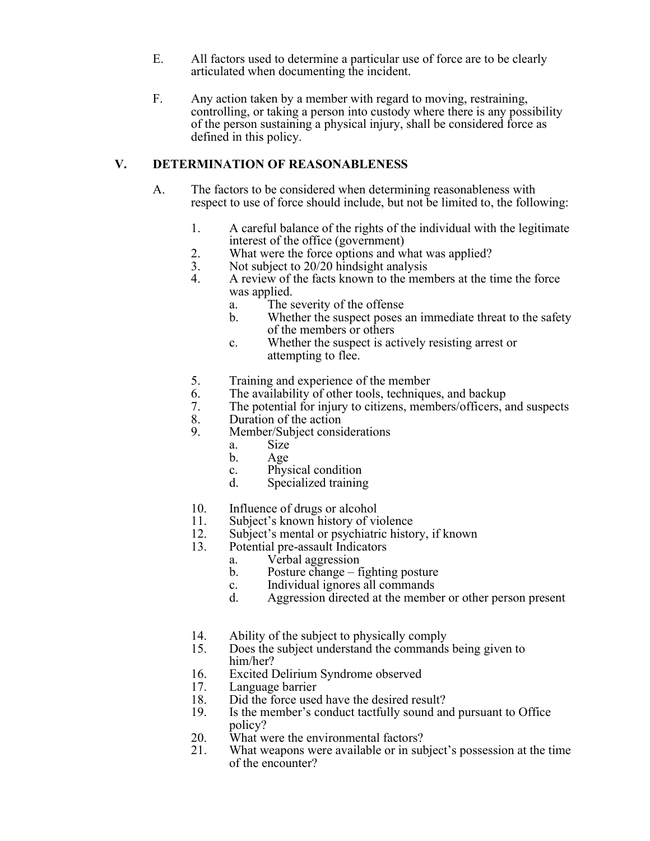- E. All factors used to determine a particular use of force are to be clearly articulated when documenting the incident.
- F. Any action taken by a member with regard to moving, restraining, controlling, or taking a person into custody where there is any possibility of the person sustaining a physical injury, shall be considered force as defined in this policy.

## V. DETERMINATION OF REASONABLENESS

- A. The factors to be considered when determining reasonableness with respect to use of force should include, but not be limited to, the following:
	- 1. A careful balance of the rights of the individual with the legitimate interest of the office (government)
	- 2. What were the force options and what was applied?
	- 3. Not subject to 20/20 hindsight analysis
	- 4. A review of the facts known to the members at the time the force was applied.
		- a. The severity of the offense
		- b. Whether the suspect poses an immediate threat to the safety of the members or others
		- c. Whether the suspect is actively resisting arrest or attempting to flee.
	- 5. Training and experience of the member
	- 6. The availability of other tools, techniques, and backup
	- 7. The potential for injury to citizens, members/officers, and suspects
	- 8. Duration of the action
	- 9. Member/Subject considerations
		- a. Size
		- b. Age
		- c. Physical condition
		- d. Specialized training
	- 10. Influence of drugs or alcohol
	- 11. Subject's known history of violence
	- 12. Subject's mental or psychiatric history, if known
	- 13. Potential pre-assault Indicators
		- a. Verbal aggression
		- b. Posture change fighting posture
		- c. Individual ignores all commands
		- d. Aggression directed at the member or other person present
	- 14. Ability of the subject to physically comply
	- 15. Does the subject understand the commands being given to him/her?
	- 16. Excited Delirium Syndrome observed
	- 17. Language barrier
	- 18. Did the force used have the desired result?
	- 19. Is the member's conduct tactfully sound and pursuant to Office policy?
	- 20. What were the environmental factors?
	- 21. What weapons were available or in subject's possession at the time of the encounter?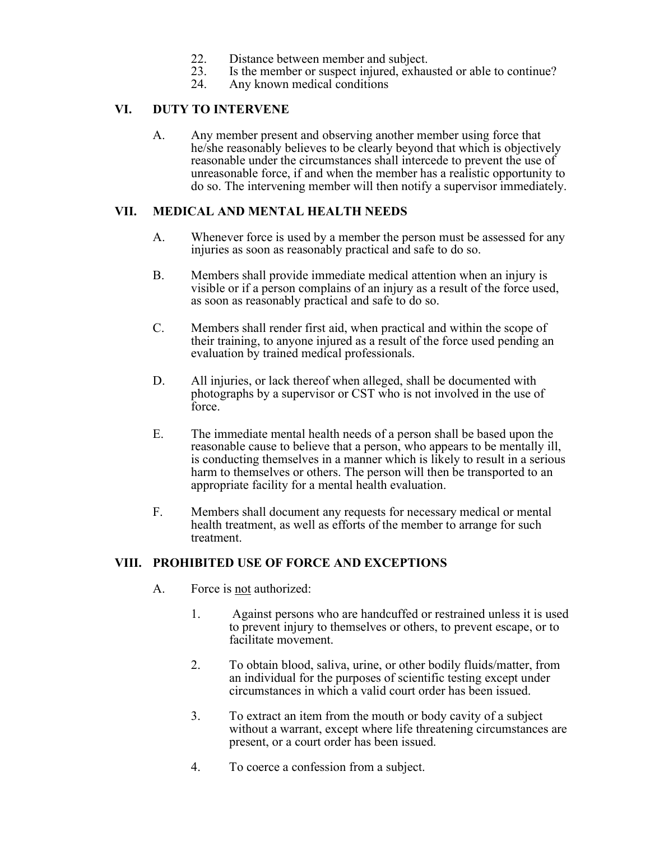- 22. Distance between member and subject.<br>23. Is the member or suspect injured, exhau
- Is the member or suspect injured, exhausted or able to continue?
- 24. Any known medical conditions

#### VI. DUTY TO INTERVENE

A. Any member present and observing another member using force that he/she reasonably believes to be clearly beyond that which is objectively reasonable under the circumstances shall intercede to prevent the use of unreasonable force, if and when the member has a realistic opportunity to do so. The intervening member will then notify a supervisor immediately.

#### VII. MEDICAL AND MENTAL HEALTH NEEDS

- A. Whenever force is used by a member the person must be assessed for any injuries as soon as reasonably practical and safe to do so.
- B. Members shall provide immediate medical attention when an injury is visible or if a person complains of an injury as a result of the force used, as soon as reasonably practical and safe to do so.
- C. Members shall render first aid, when practical and within the scope of their training, to anyone injured as a result of the force used pending an evaluation by trained medical professionals.
- D. All injuries, or lack thereof when alleged, shall be documented with photographs by a supervisor or CST who is not involved in the use of force.
- E. The immediate mental health needs of a person shall be based upon the reasonable cause to believe that a person, who appears to be mentally ill, is conducting themselves in a manner which is likely to result in a serious harm to themselves or others. The person will then be transported to an appropriate facility for a mental health evaluation.
- F. Members shall document any requests for necessary medical or mental health treatment, as well as efforts of the member to arrange for such treatment.

#### VIII. PROHIBITED USE OF FORCE AND EXCEPTIONS

- A. Force is not authorized:
	- 1. Against persons who are handcuffed or restrained unless it is used to prevent injury to themselves or others, to prevent escape, or to facilitate movement.
	- 2. To obtain blood, saliva, urine, or other bodily fluids/matter, from an individual for the purposes of scientific testing except under circumstances in which a valid court order has been issued.
	- 3. To extract an item from the mouth or body cavity of a subject without a warrant, except where life threatening circumstances are present, or a court order has been issued.
	- 4. To coerce a confession from a subject.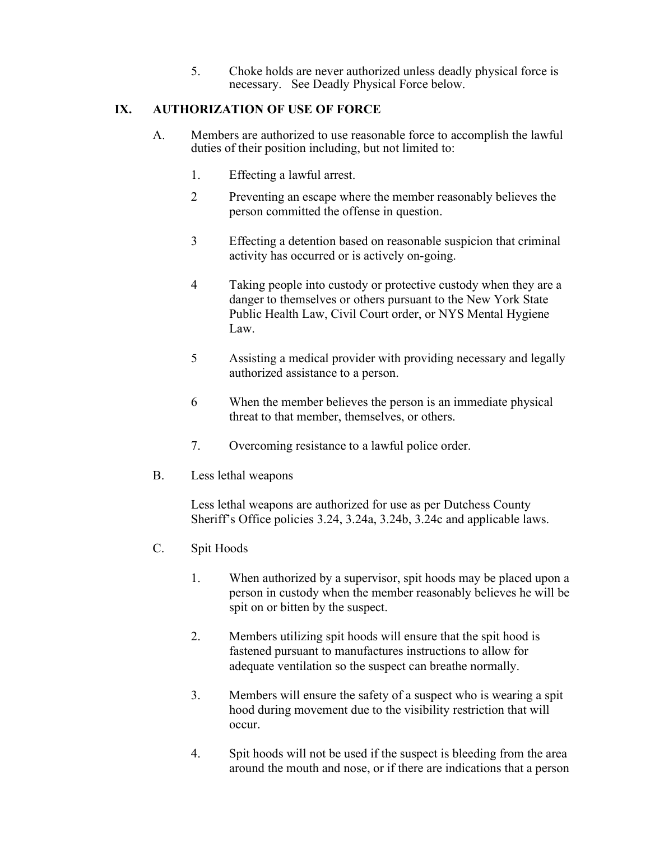5. Choke holds are never authorized unless deadly physical force is necessary. See Deadly Physical Force below.

#### IX. AUTHORIZATION OF USE OF FORCE

- A. Members are authorized to use reasonable force to accomplish the lawful duties of their position including, but not limited to:
	- 1. Effecting a lawful arrest.
	- 2 Preventing an escape where the member reasonably believes the person committed the offense in question.
	- 3 Effecting a detention based on reasonable suspicion that criminal activity has occurred or is actively on-going.
	- 4 Taking people into custody or protective custody when they are a danger to themselves or others pursuant to the New York State Public Health Law, Civil Court order, or NYS Mental Hygiene Law.
	- 5 Assisting a medical provider with providing necessary and legally authorized assistance to a person.
	- 6 When the member believes the person is an immediate physical threat to that member, themselves, or others.
	- 7. Overcoming resistance to a lawful police order.
- B. Less lethal weapons

Less lethal weapons are authorized for use as per Dutchess County Sheriff's Office policies 3.24, 3.24a, 3.24b, 3.24c and applicable laws.

- C. Spit Hoods
	- 1. When authorized by a supervisor, spit hoods may be placed upon a person in custody when the member reasonably believes he will be spit on or bitten by the suspect.
	- 2. Members utilizing spit hoods will ensure that the spit hood is fastened pursuant to manufactures instructions to allow for adequate ventilation so the suspect can breathe normally.
	- 3. Members will ensure the safety of a suspect who is wearing a spit hood during movement due to the visibility restriction that will occur.
	- 4. Spit hoods will not be used if the suspect is bleeding from the area around the mouth and nose, or if there are indications that a person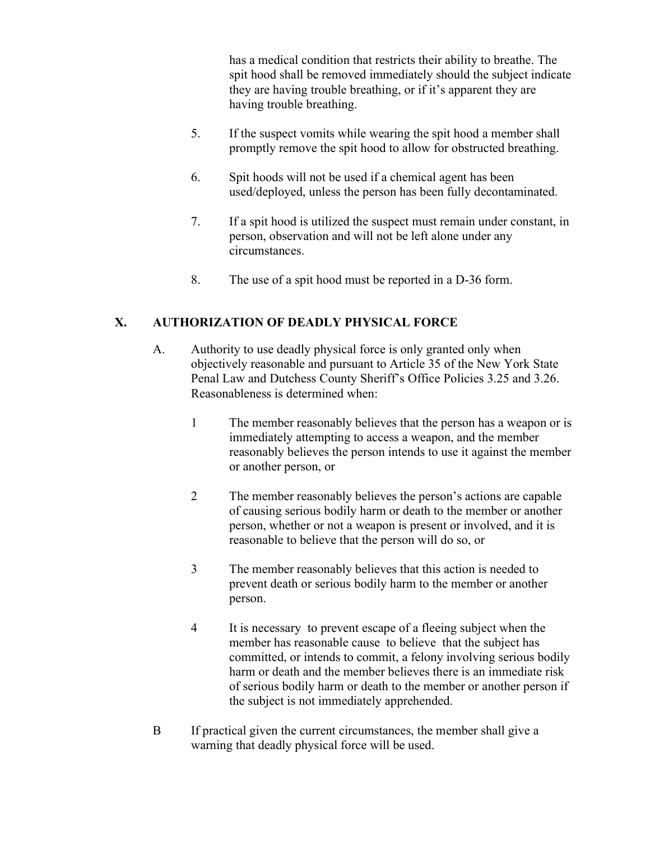has a medical condition that restricts their ability to breathe. The spit hood shall be removed immediately should the subject indicate they are having trouble breathing, or if it's apparent they are having trouble breathing.

- 5. If the suspect vomits while wearing the spit hood a member shall promptly remove the spit hood to allow for obstructed breathing.
- 6. Spit hoods will not be used if a chemical agent has been used/deployed, unless the person has been fully decontaminated.
- 7. If a spit hood is utilized the suspect must remain under constant, in person, observation and will not be left alone under any circumstances.
- 8. The use of a spit hood must be reported in a D-36 form.

# X. AUTHORIZATION OF DEADLY PHYSICAL FORCE

- A. Authority to use deadly physical force is only granted only when objectively reasonable and pursuant to Article 35 of the New York State Penal Law and Dutchess County Sheriff's Office Policies 3.25 and 3.26. Reasonableness is determined when:
	- 1 The member reasonably believes that the person has a weapon or is immediately attempting to access a weapon, and the member reasonably believes the person intends to use it against the member or another person, or
	- 2 The member reasonably believes the person's actions are capable of causing serious bodily harm or death to the member or another person, whether or not a weapon is present or involved, and it is reasonable to believe that the person will do so, or
	- 3 The member reasonably believes that this action is needed to prevent death or serious bodily harm to the member or another person.
	- 4 It is necessary to prevent escape of a fleeing subject when the member has reasonable cause to believe that the subject has committed, or intends to commit, a felony involving serious bodily harm or death and the member believes there is an immediate risk of serious bodily harm or death to the member or another person if the subject is not immediately apprehended.
- B If practical given the current circumstances, the member shall give a warning that deadly physical force will be used.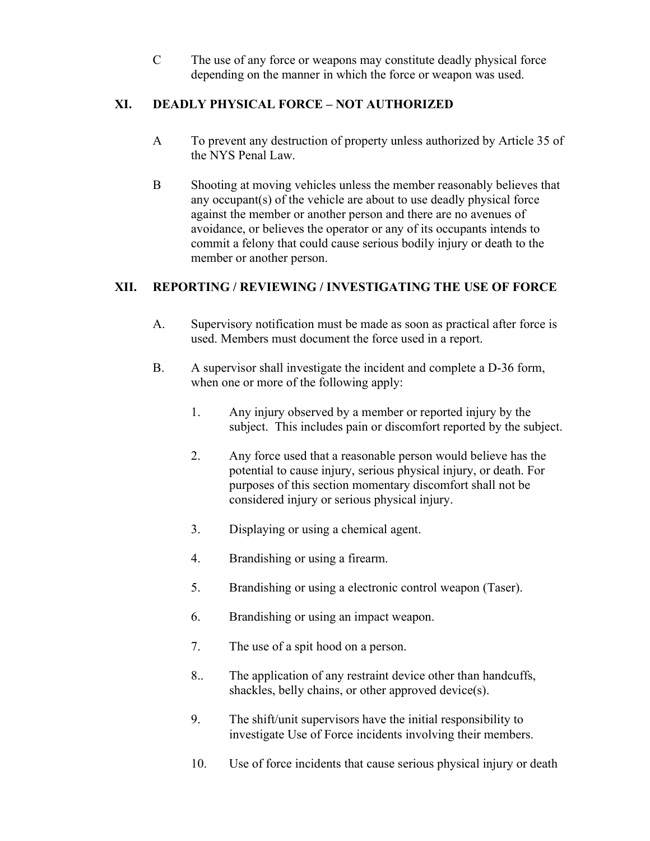C The use of any force or weapons may constitute deadly physical force depending on the manner in which the force or weapon was used.

# XI. DEADLY PHYSICAL FORCE – NOT AUTHORIZED

- A To prevent any destruction of property unless authorized by Article 35 of the NYS Penal Law.
- B Shooting at moving vehicles unless the member reasonably believes that any occupant(s) of the vehicle are about to use deadly physical force against the member or another person and there are no avenues of avoidance, or believes the operator or any of its occupants intends to commit a felony that could cause serious bodily injury or death to the member or another person.

# XII. REPORTING / REVIEWING / INVESTIGATING THE USE OF FORCE

- A. Supervisory notification must be made as soon as practical after force is used. Members must document the force used in a report.
- B. A supervisor shall investigate the incident and complete a D-36 form, when one or more of the following apply:
	- 1. Any injury observed by a member or reported injury by the subject. This includes pain or discomfort reported by the subject.
	- 2. Any force used that a reasonable person would believe has the potential to cause injury, serious physical injury, or death. For purposes of this section momentary discomfort shall not be considered injury or serious physical injury.
	- 3. Displaying or using a chemical agent.
	- 4. Brandishing or using a firearm.
	- 5. Brandishing or using a electronic control weapon (Taser).
	- 6. Brandishing or using an impact weapon.
	- 7. The use of a spit hood on a person.
	- 8.. The application of any restraint device other than handcuffs, shackles, belly chains, or other approved device(s).
	- 9. The shift/unit supervisors have the initial responsibility to investigate Use of Force incidents involving their members.
	- 10. Use of force incidents that cause serious physical injury or death